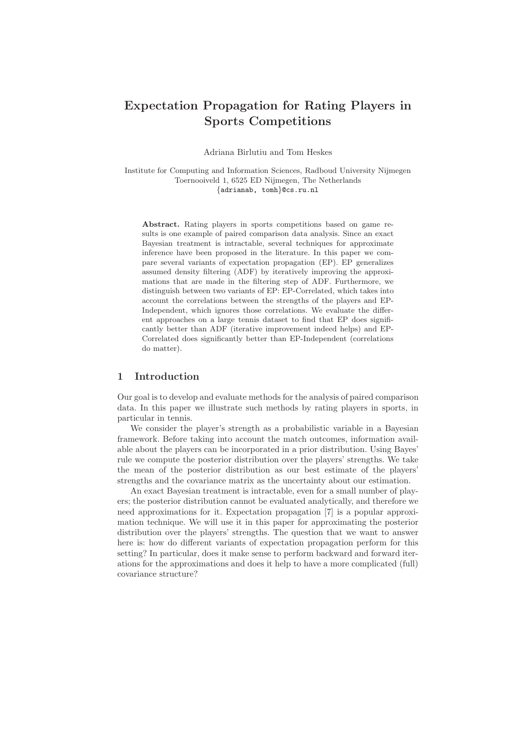# Expectation Propagation for Rating Players in Sports Competitions

Adriana Birlutiu and Tom Heskes

Institute for Computing and Information Sciences, Radboud University Nijmegen Toernooiveld 1, 6525 ED Nijmegen, The Netherlands {adrianab, tomh}@cs.ru.nl

Abstract. Rating players in sports competitions based on game results is one example of paired comparison data analysis. Since an exact Bayesian treatment is intractable, several techniques for approximate inference have been proposed in the literature. In this paper we compare several variants of expectation propagation (EP). EP generalizes assumed density filtering (ADF) by iteratively improving the approximations that are made in the filtering step of ADF. Furthermore, we distinguish between two variants of EP: EP-Correlated, which takes into account the correlations between the strengths of the players and EP-Independent, which ignores those correlations. We evaluate the different approaches on a large tennis dataset to find that EP does significantly better than ADF (iterative improvement indeed helps) and EP-Correlated does significantly better than EP-Independent (correlations do matter).

## 1 Introduction

Our goal is to develop and evaluate methods for the analysis of paired comparison data. In this paper we illustrate such methods by rating players in sports, in particular in tennis.

We consider the player's strength as a probabilistic variable in a Bayesian framework. Before taking into account the match outcomes, information available about the players can be incorporated in a prior distribution. Using Bayes' rule we compute the posterior distribution over the players' strengths. We take the mean of the posterior distribution as our best estimate of the players' strengths and the covariance matrix as the uncertainty about our estimation.

An exact Bayesian treatment is intractable, even for a small number of players; the posterior distribution cannot be evaluated analytically, and therefore we need approximations for it. Expectation propagation [7] is a popular approximation technique. We will use it in this paper for approximating the posterior distribution over the players' strengths. The question that we want to answer here is: how do different variants of expectation propagation perform for this setting? In particular, does it make sense to perform backward and forward iterations for the approximations and does it help to have a more complicated (full) covariance structure?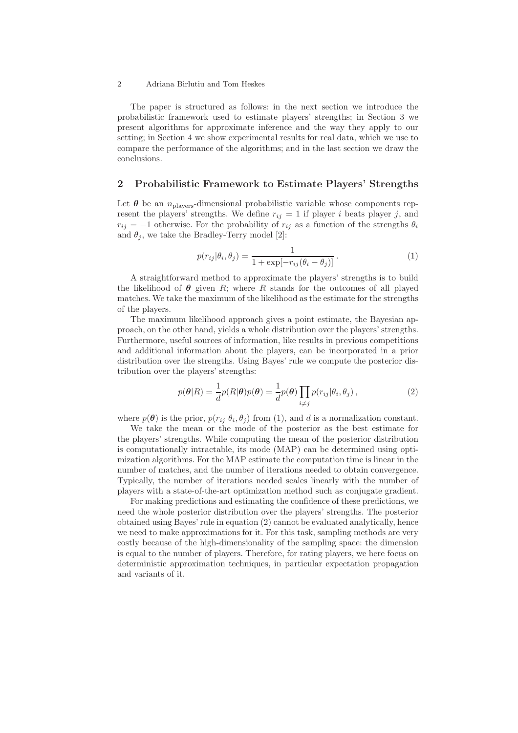### 2 Adriana Birlutiu and Tom Heskes

The paper is structured as follows: in the next section we introduce the probabilistic framework used to estimate players' strengths; in Section 3 we present algorithms for approximate inference and the way they apply to our setting; in Section 4 we show experimental results for real data, which we use to compare the performance of the algorithms; and in the last section we draw the conclusions.

## 2 Probabilistic Framework to Estimate Players' Strengths

Let  $\theta$  be an  $n_{\text{plays}}$ -dimensional probabilistic variable whose components represent the players' strengths. We define  $r_{ij} = 1$  if player i beats player j, and  $r_{ij} = -1$  otherwise. For the probability of  $r_{ij}$  as a function of the strengths  $\theta_i$ and  $\theta_i$ , we take the Bradley-Terry model [2]:

$$
p(r_{ij}|\theta_i, \theta_j) = \frac{1}{1 + \exp[-r_{ij}(\theta_i - \theta_j)]}.
$$
 (1)

A straightforward method to approximate the players' strengths is to build the likelihood of  $\theta$  given R; where R stands for the outcomes of all played matches. We take the maximum of the likelihood as the estimate for the strengths of the players.

The maximum likelihood approach gives a point estimate, the Bayesian approach, on the other hand, yields a whole distribution over the players' strengths. Furthermore, useful sources of information, like results in previous competitions and additional information about the players, can be incorporated in a prior distribution over the strengths. Using Bayes' rule we compute the posterior distribution over the players' strengths:

$$
p(\boldsymbol{\theta}|R) = \frac{1}{d}p(R|\boldsymbol{\theta})p(\boldsymbol{\theta}) = \frac{1}{d}p(\boldsymbol{\theta})\prod_{i \neq j}p(r_{ij}|\theta_i,\theta_j),
$$
\n(2)

where  $p(\theta)$  is the prior,  $p(r_{ij} | \theta_i, \theta_j)$  from (1), and d is a normalization constant.

We take the mean or the mode of the posterior as the best estimate for the players' strengths. While computing the mean of the posterior distribution is computationally intractable, its mode (MAP) can be determined using optimization algorithms. For the MAP estimate the computation time is linear in the number of matches, and the number of iterations needed to obtain convergence. Typically, the number of iterations needed scales linearly with the number of players with a state-of-the-art optimization method such as conjugate gradient.

For making predictions and estimating the confidence of these predictions, we need the whole posterior distribution over the players' strengths. The posterior obtained using Bayes' rule in equation (2) cannot be evaluated analytically, hence we need to make approximations for it. For this task, sampling methods are very costly because of the high-dimensionality of the sampling space: the dimension is equal to the number of players. Therefore, for rating players, we here focus on deterministic approximation techniques, in particular expectation propagation and variants of it.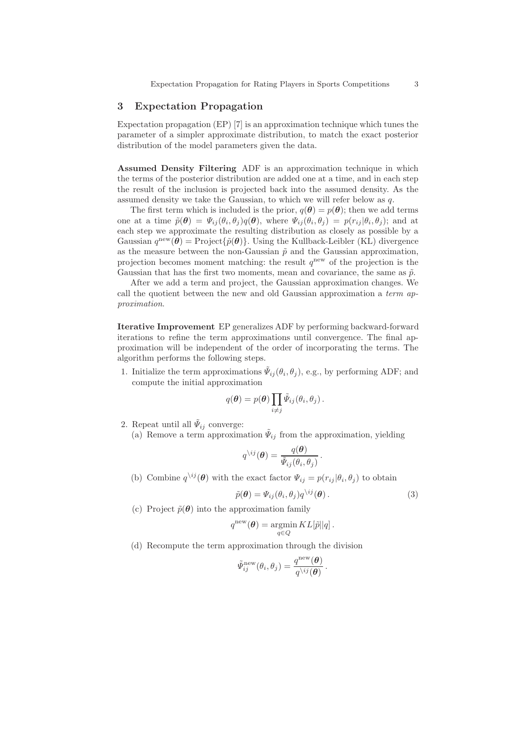# 3 Expectation Propagation

Expectation propagation (EP) [7] is an approximation technique which tunes the parameter of a simpler approximate distribution, to match the exact posterior distribution of the model parameters given the data.

Assumed Density Filtering ADF is an approximation technique in which the terms of the posterior distribution are added one at a time, and in each step the result of the inclusion is projected back into the assumed density. As the assumed density we take the Gaussian, to which we will refer below as q.

The first term which is included is the prior,  $q(\theta) = p(\theta)$ ; then we add terms one at a time  $\tilde{p}(\theta) = \Psi_{ij}(\theta_i, \theta_j)q(\theta)$ , where  $\Psi_{ij}(\theta_i, \theta_j) = p(r_{ij}|\theta_i, \theta_j)$ ; and at each step we approximate the resulting distribution as closely as possible by a Gaussian  $q^{\text{new}}(\theta) = \text{Project}\{\tilde{p}(\theta)\}\)$ . Using the Kullback-Leibler (KL) divergence as the measure between the non-Gaussian  $\tilde{p}$  and the Gaussian approximation, projection becomes moment matching: the result  $q^{\text{new}}$  of the projection is the Gaussian that has the first two moments, mean and covariance, the same as  $\tilde{p}$ .

After we add a term and project, the Gaussian approximation changes. We call the quotient between the new and old Gaussian approximation a term approximation.

Iterative Improvement EP generalizes ADF by performing backward-forward iterations to refine the term approximations until convergence. The final approximation will be independent of the order of incorporating the terms. The algorithm performs the following steps.

1. Initialize the term approximations  $\tilde{\Psi}_{ij}(\theta_i, \theta_j)$ , e.g., by performing ADF; and compute the initial approximation

$$
q(\boldsymbol{\theta}) = p(\boldsymbol{\theta}) \prod_{i \neq j} \tilde{\Psi}_{ij}(\theta_i, \theta_j).
$$

- 2. Repeat until all  $\tilde{\Psi}_{ij}$  converge:
	- (a) Remove a term approximation  $\tilde{\Psi}_{ij}$  from the approximation, yielding

$$
q^{\setminus ij}(\boldsymbol{\theta}) = \frac{q(\boldsymbol{\theta})}{\tilde{\psi}_{ij}(\theta_i, \theta_j)}
$$

(b) Combine  $q^{\setminus ij}(\boldsymbol{\theta})$  with the exact factor  $\Psi_{ij} = p(r_{ij}|\theta_i, \theta_j)$  to obtain

$$
\tilde{p}(\boldsymbol{\theta}) = \Psi_{ij}(\theta_i, \theta_j) q^{\backslash ij}(\boldsymbol{\theta}). \tag{3}
$$

.

(c) Project  $\tilde{p}(\theta)$  into the approximation family

$$
q^{\text{new}}(\boldsymbol{\theta}) = \operatorname*{argmin}_{q \in Q} KL[\tilde{p} || q].
$$

(d) Recompute the term approximation through the division

$$
\tilde{\varPsi}_{ij}^{\text{new}}(\theta_i, \theta_j) = \frac{q^{\text{new}}(\boldsymbol{\theta})}{q^{\backslash ij}(\boldsymbol{\theta})}.
$$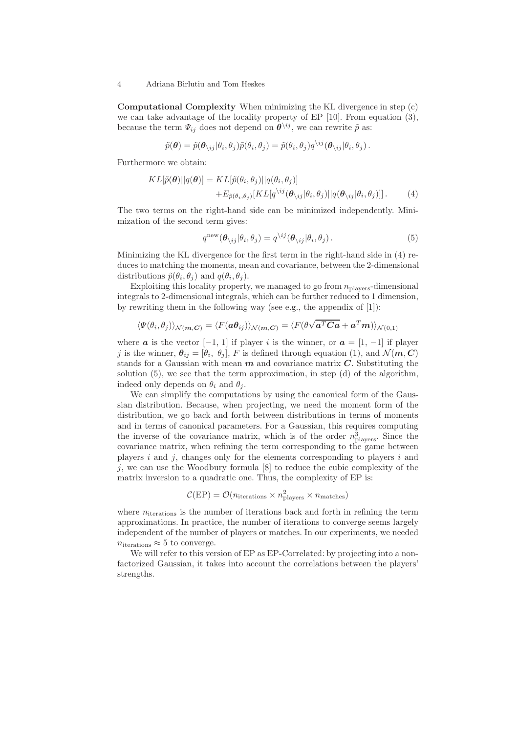#### 4 Adriana Birlutiu and Tom Heskes

Computational Complexity When minimizing the KL divergence in step (c) we can take advantage of the locality property of EP [10]. From equation (3), because the term  $\Psi_{ij}$  does not depend on  $\boldsymbol{\theta}^{\setminus ij}$ , we can rewrite  $\tilde{p}$  as:

$$
\tilde{p}(\boldsymbol{\theta}) = \tilde{p}(\boldsymbol{\theta}_{\setminus ij} | \theta_i, \theta_j) \tilde{p}(\theta_i, \theta_j) = \tilde{p}(\theta_i, \theta_j) q^{\setminus ij}(\boldsymbol{\theta}_{\setminus ij} | \theta_i, \theta_j).
$$

Furthermore we obtain:

$$
KL[\tilde{p}(\boldsymbol{\theta})||q(\boldsymbol{\theta})] = KL[\tilde{p}(\theta_i, \theta_j)||q(\theta_i, \theta_j)] + E_{\tilde{p}(\theta_i, \theta_j)}[KL[q^{\setminus ij}(\theta_{\setminus ij}|\theta_i, \theta_j)||q(\theta_{\setminus ij}|\theta_i, \theta_j)]].
$$
\n(4)

The two terms on the right-hand side can be minimized independently. Minimization of the second term gives:

$$
q^{\text{new}}(\boldsymbol{\theta}_{\backslash ij}|\theta_i,\theta_j) = q^{\backslash ij}(\boldsymbol{\theta}_{\backslash ij}|\theta_i,\theta_j).
$$
\n(5)

Minimizing the KL divergence for the first term in the right-hand side in (4) reduces to matching the moments, mean and covariance, between the 2-dimensional distributions  $\tilde{p}(\theta_i, \theta_j)$  and  $q(\theta_i, \theta_j)$ .

Exploiting this locality property, we managed to go from  $n_{\text{plavers}}$ -dimensional integrals to 2-dimensional integrals, which can be further reduced to 1 dimension, by rewriting them in the following way (see e.g., the appendix of [1]):

$$
\langle \Psi(\theta_i, \theta_j) \rangle_{\mathcal{N}(m, \mathbf{C})} = \langle F(\mathbf{a}\mathbf{\theta}_{ij}) \rangle_{\mathcal{N}(m, \mathbf{C})} = \langle F(\mathbf{\theta} \sqrt{\mathbf{a}^T \mathbf{C} \mathbf{a}} + \mathbf{a}^T \mathbf{m}) \rangle_{\mathcal{N}(0, 1)}
$$

where **a** is the vector  $[-1, 1]$  if player i is the winner, or  $a = [1, -1]$  if player j is the winner,  $\theta_{ij} = [\theta_i, \theta_j], F$  is defined through equation (1), and  $\mathcal{N}(m, C)$ stands for a Gaussian with mean  $m$  and covariance matrix  $C$ . Substituting the solution (5), we see that the term approximation, in step (d) of the algorithm, indeed only depends on  $\theta_i$  and  $\theta_j$ .

We can simplify the computations by using the canonical form of the Gaussian distribution. Because, when projecting, we need the moment form of the distribution, we go back and forth between distributions in terms of moments and in terms of canonical parameters. For a Gaussian, this requires computing the inverse of the covariance matrix, which is of the order  $n_{\text{plays}}^3$ . Since the covariance matrix, when refining the term corresponding to the game between players  $i$  and  $j$ , changes only for the elements corresponding to players  $i$  and  $j$ , we can use the Woodbury formula  $[8]$  to reduce the cubic complexity of the matrix inversion to a quadratic one. Thus, the complexity of EP is:

$$
C(EP) = O(n_{\text{iterations}} \times n_{\text{players}}^2 \times n_{\text{matches}})
$$

where  $n_{\text{iterations}}$  is the number of iterations back and forth in refining the term approximations. In practice, the number of iterations to converge seems largely independent of the number of players or matches. In our experiments, we needed  $n_{\text{iterations}} \approx 5$  to converge.

We will refer to this version of EP as EP-Correlated: by projecting into a nonfactorized Gaussian, it takes into account the correlations between the players' strengths.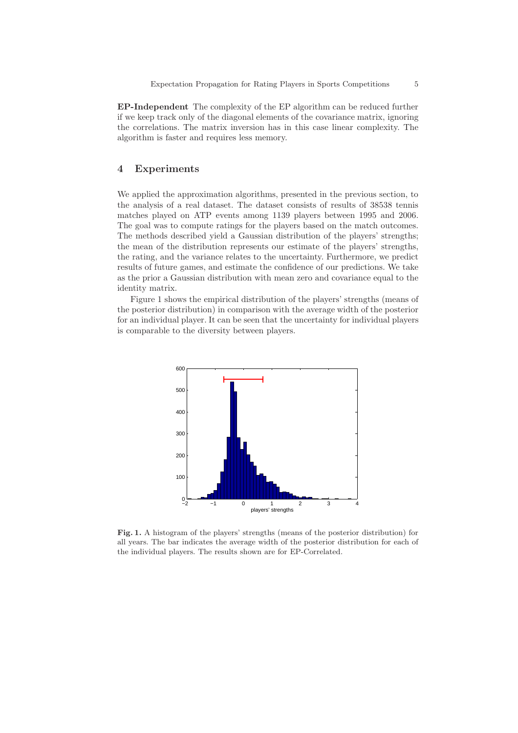EP-Independent The complexity of the EP algorithm can be reduced further if we keep track only of the diagonal elements of the covariance matrix, ignoring the correlations. The matrix inversion has in this case linear complexity. The algorithm is faster and requires less memory.

## 4 Experiments

We applied the approximation algorithms, presented in the previous section, to the analysis of a real dataset. The dataset consists of results of 38538 tennis matches played on ATP events among 1139 players between 1995 and 2006. The goal was to compute ratings for the players based on the match outcomes. The methods described yield a Gaussian distribution of the players' strengths; the mean of the distribution represents our estimate of the players' strengths, the rating, and the variance relates to the uncertainty. Furthermore, we predict results of future games, and estimate the confidence of our predictions. We take as the prior a Gaussian distribution with mean zero and covariance equal to the identity matrix.

Figure 1 shows the empirical distribution of the players' strengths (means of the posterior distribution) in comparison with the average width of the posterior for an individual player. It can be seen that the uncertainty for individual players is comparable to the diversity between players.



Fig. 1. A histogram of the players' strengths (means of the posterior distribution) for all years. The bar indicates the average width of the posterior distribution for each of the individual players. The results shown are for EP-Correlated.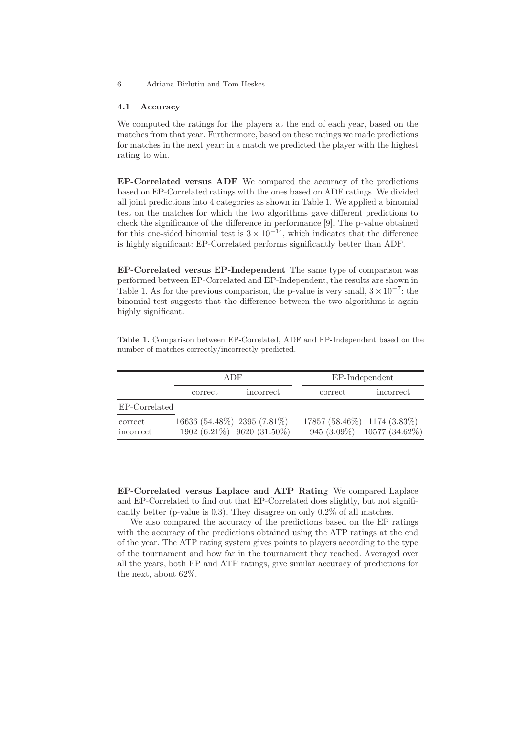#### 4.1 Accuracy

We computed the ratings for the players at the end of each year, based on the matches from that year. Furthermore, based on these ratings we made predictions for matches in the next year: in a match we predicted the player with the highest rating to win.

EP-Correlated versus ADF We compared the accuracy of the predictions based on EP-Correlated ratings with the ones based on ADF ratings. We divided all joint predictions into 4 categories as shown in Table 1. We applied a binomial test on the matches for which the two algorithms gave different predictions to check the significance of the difference in performance [9]. The p-value obtained for this one-sided binomial test is  $3 \times 10^{-14}$ , which indicates that the difference is highly significant: EP-Correlated performs significantly better than ADF.

EP-Correlated versus EP-Independent The same type of comparison was performed between EP-Correlated and EP-Independent, the results are shown in Table 1. As for the previous comparison, the p-value is very small,  $3 \times 10^{-7}$ : the binomial test suggests that the difference between the two algorithms is again highly significant.

Table 1. Comparison between EP-Correlated, ADF and EP-Independent based on the number of matches correctly/incorrectly predicted.

|                      | ADF     |                                                           | EP-Independent              |                            |
|----------------------|---------|-----------------------------------------------------------|-----------------------------|----------------------------|
|                      | correct | incorrect                                                 | correct                     | incorrect                  |
| EP-Correlated        |         |                                                           |                             |                            |
| correct<br>incorrect |         | 16636 (54.48%) 2395 (7.81%)<br>1902 (6.21%) 9620 (31.50%) | 17857 (58.46%) 1174 (3.83%) | 945 (3.09%) 10577 (34.62%) |

EP-Correlated versus Laplace and ATP Rating We compared Laplace and EP-Correlated to find out that EP-Correlated does slightly, but not significantly better (p-value is 0.3). They disagree on only 0.2% of all matches.

We also compared the accuracy of the predictions based on the EP ratings with the accuracy of the predictions obtained using the ATP ratings at the end of the year. The ATP rating system gives points to players according to the type of the tournament and how far in the tournament they reached. Averaged over all the years, both EP and ATP ratings, give similar accuracy of predictions for the next, about 62%.

<sup>6</sup> Adriana Birlutiu and Tom Heskes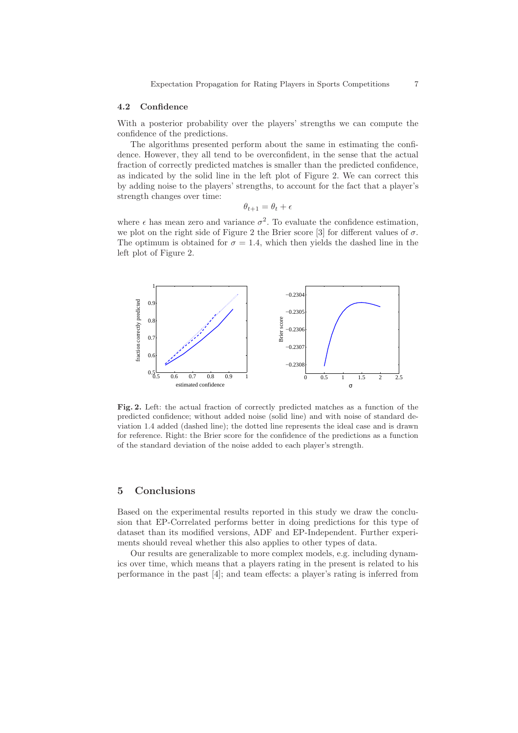#### 4.2 Confidence

With a posterior probability over the players' strengths we can compute the confidence of the predictions.

The algorithms presented perform about the same in estimating the confidence. However, they all tend to be overconfident, in the sense that the actual fraction of correctly predicted matches is smaller than the predicted confidence, as indicated by the solid line in the left plot of Figure 2. We can correct this by adding noise to the players' strengths, to account for the fact that a player's strength changes over time:

$$
\theta_{t+1} = \theta_t + \epsilon
$$

where  $\epsilon$  has mean zero and variance  $\sigma^2$ . To evaluate the confidence estimation, we plot on the right side of Figure 2 the Brier score [3] for different values of  $\sigma$ . The optimum is obtained for  $\sigma = 1.4$ , which then yields the dashed line in the left plot of Figure 2.



Fig. 2. Left: the actual fraction of correctly predicted matches as a function of the predicted confidence; without added noise (solid line) and with noise of standard deviation 1.4 added (dashed line); the dotted line represents the ideal case and is drawn for reference. Right: the Brier score for the confidence of the predictions as a function of the standard deviation of the noise added to each player's strength.

# 5 Conclusions

Based on the experimental results reported in this study we draw the conclusion that EP-Correlated performs better in doing predictions for this type of dataset than its modified versions, ADF and EP-Independent. Further experiments should reveal whether this also applies to other types of data.

Our results are generalizable to more complex models, e.g. including dynamics over time, which means that a players rating in the present is related to his performance in the past [4]; and team effects: a player's rating is inferred from